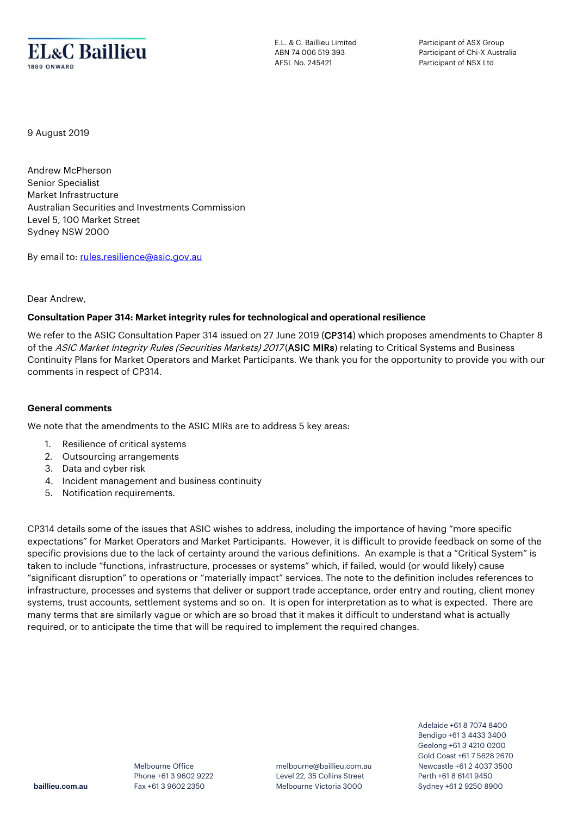

E.L. & C. Baillieu Limited ABN 74 006 519 393 AFSL No. 245421

Participant of ASX Group Participant of Chi-X Australia Participant of NSX Ltd

9 August 2019

Andrew McPherson Senior Specialist Market Infrastructure Australian Securities and Investments Commission Level 5, 100 Market Street Sydney NSW 2000

By email to[: rules.resilience@asic.gov.au](mailto:rules.resilience@asic.gov.au)

## Dear Andrew,

## **Consultation Paper 314: Market integrity rules for technological and operational resilience**

We refer to the ASIC Consultation Paper 314 issued on 27 June 2019 (CP314) which proposes amendments to Chapter 8 of the ASIC Market Integrity Rules (Securities Markets) 2017 (ASIC MIRs) relating to Critical Systems and Business Continuity Plans for Market Operators and Market Participants. We thank you for the opportunity to provide you with our comments in respect of CP314.

## **General comments**

We note that the amendments to the ASIC MIRs are to address 5 key areas:

- 1. Resilience of critical systems
- 2. Outsourcing arrangements
- 3. Data and cyber risk
- 4. Incident management and business continuity
- 5. Notification requirements.

CP314 details some of the issues that ASIC wishes to address, including the importance of having "more specific expectations" for Market Operators and Market Participants. However, it is difficult to provide feedback on some of the specific provisions due to the lack of certainty around the various definitions. An example is that a "Critical System" is taken to include "functions, infrastructure, processes or systems" which, if failed, would (or would likely) cause "significant disruption" to operations or "materially impact" services. The note to the definition includes references to infrastructure, processes and systems that deliver or support trade acceptance, order entry and routing, client money systems, trust accounts, settlement systems and so on. It is open for interpretation as to what is expected. There are many terms that are similarly vague or which are so broad that it makes it difficult to understand what is actually required, or to anticipate the time that will be required to implement the required changes.

> Melbourne Office Phone +61 3 9602 9222 Fax +61 3 9602 2350

melbourne@baillieu.com.au Level 22, 35 Collins Street Melbourne Victoria 3000

Adelaide +61 8 7074 8400 Bendigo +61 3 4433 3400 Geelong +61 3 4210 0200 Gold Coast +61 7 5628 2670 Newcastle +61 2 4037 3500 Perth +61 8 6141 9450 Sydney +61 2 9250 8900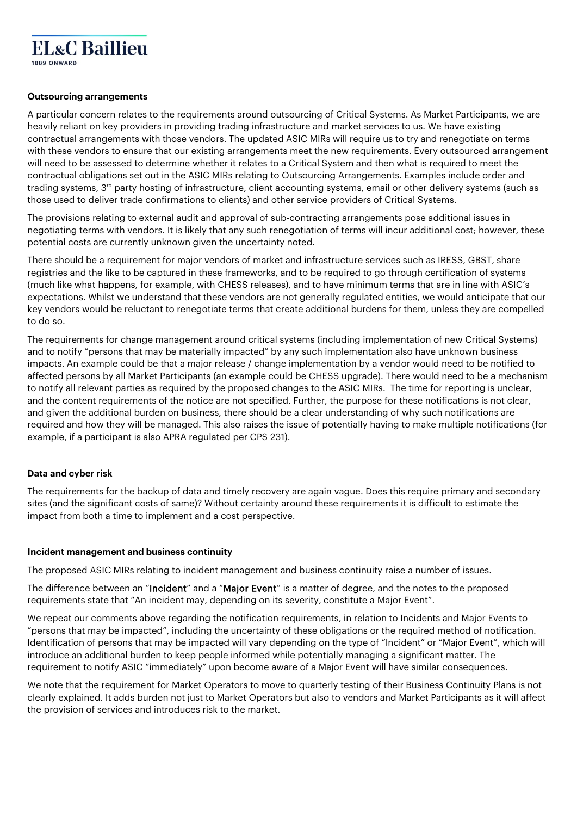

## **Outsourcing arrangements**

A particular concern relates to the requirements around outsourcing of Critical Systems. As Market Participants, we are heavily reliant on key providers in providing trading infrastructure and market services to us. We have existing contractual arrangements with those vendors. The updated ASIC MIRs will require us to try and renegotiate on terms with these vendors to ensure that our existing arrangements meet the new requirements. Every outsourced arrangement will need to be assessed to determine whether it relates to a Critical System and then what is required to meet the contractual obligations set out in the ASIC MIRs relating to Outsourcing Arrangements. Examples include order and trading systems, 3<sup>rd</sup> party hosting of infrastructure, client accounting systems, email or other delivery systems (such as those used to deliver trade confirmations to clients) and other service providers of Critical Systems.

The provisions relating to external audit and approval of sub-contracting arrangements pose additional issues in negotiating terms with vendors. It is likely that any such renegotiation of terms will incur additional cost; however, these potential costs are currently unknown given the uncertainty noted.

There should be a requirement for major vendors of market and infrastructure services such as IRESS, GBST, share registries and the like to be captured in these frameworks, and to be required to go through certification of systems (much like what happens, for example, with CHESS releases), and to have minimum terms that are in line with ASIC's expectations. Whilst we understand that these vendors are not generally regulated entities, we would anticipate that our key vendors would be reluctant to renegotiate terms that create additional burdens for them, unless they are compelled to do so.

The requirements for change management around critical systems (including implementation of new Critical Systems) and to notify "persons that may be materially impacted" by any such implementation also have unknown business impacts. An example could be that a major release / change implementation by a vendor would need to be notified to affected persons by all Market Participants (an example could be CHESS upgrade). There would need to be a mechanism to notify all relevant parties as required by the proposed changes to the ASIC MIRs. The time for reporting is unclear, and the content requirements of the notice are not specified. Further, the purpose for these notifications is not clear, and given the additional burden on business, there should be a clear understanding of why such notifications are required and how they will be managed. This also raises the issue of potentially having to make multiple notifications (for example, if a participant is also APRA regulated per CPS 231).

## **Data and cyber risk**

The requirements for the backup of data and timely recovery are again vague. Does this require primary and secondary sites (and the significant costs of same)? Without certainty around these requirements it is difficult to estimate the impact from both a time to implement and a cost perspective.

#### **Incident management and business continuity**

The proposed ASIC MIRs relating to incident management and business continuity raise a number of issues.

The difference between an "Incident" and a "Major Event" is a matter of degree, and the notes to the proposed requirements state that "An incident may, depending on its severity, constitute a Major Event".

We repeat our comments above regarding the notification requirements, in relation to Incidents and Major Events to "persons that may be impacted", including the uncertainty of these obligations or the required method of notification. Identification of persons that may be impacted will vary depending on the type of "Incident" or "Major Event", which will introduce an additional burden to keep people informed while potentially managing a significant matter. The requirement to notify ASIC "immediately" upon become aware of a Major Event will have similar consequences.

We note that the requirement for Market Operators to move to quarterly testing of their Business Continuity Plans is not clearly explained. It adds burden not just to Market Operators but also to vendors and Market Participants as it will affect the provision of services and introduces risk to the market.